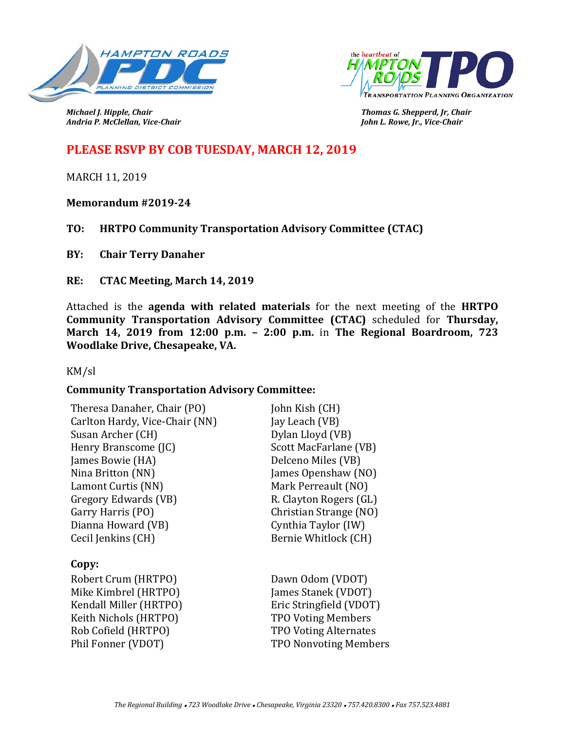



*Andria P. McClellan, Vice-Chair John L. Rowe, Jr., Vice-Chair*

*Michael J. Hipple, Chair Thomas G. Shepperd, Jr, Chair*

# **PLEASE RSVP BY COB TUESDAY, MARCH 12, 2019**

MARCH 11, 2019

**Memorandum #2019-24**

**TO: HRTPO Community Transportation Advisory Committee (CTAC)**

**BY: Chair Terry Danaher**

**RE: CTAC Meeting, March 14, 2019**

Attached is the **agenda with related materials** for the next meeting of the **HRTPO Community Transportation Advisory Committee (CTAC)** scheduled for **Thursday, March 14, 2019 from 12:00 p.m. – 2:00 p.m.** in **The Regional Boardroom, 723 Woodlake Drive, Chesapeake, VA.** 

KM/sl

## **Community Transportation Advisory Committee:**

| Theresa Danaher, Chair (PO)    | John Kish (CH)               |
|--------------------------------|------------------------------|
| Carlton Hardy, Vice-Chair (NN) | Jay Leach (VB)               |
| Susan Archer (CH)              | Dylan Lloyd (VB)             |
| Henry Branscome (JC)           | Scott MacFarlane (VB)        |
| James Bowie (HA)               | Delceno Miles (VB)           |
| Nina Britton (NN)              | James Openshaw (NO)          |
| Lamont Curtis (NN)             | Mark Perreault (NO)          |
| Gregory Edwards (VB)           | R. Clayton Rogers (GL)       |
| Garry Harris (PO)              | Christian Strange (NO)       |
| Dianna Howard (VB)             | Cynthia Taylor (IW)          |
| Cecil Jenkins (CH)             | Bernie Whitlock (CH)         |
| Copy:                          |                              |
| Robert Crum (HRTPO)            | Dawn Odom (VDOT)             |
| Mike Kimbrel (HRTPO)           | James Stanek (VDOT)          |
| Kendall Miller (HRTPO)         | Eric Stringfield (VDOT)      |
| Keith Nichols (HRTPO)          | <b>TPO Voting Members</b>    |
| Rob Cofield (HRTPO)            | <b>TPO Voting Alternates</b> |
| Phil Fonner (VDOT)             | <b>TPO Nonvoting Members</b> |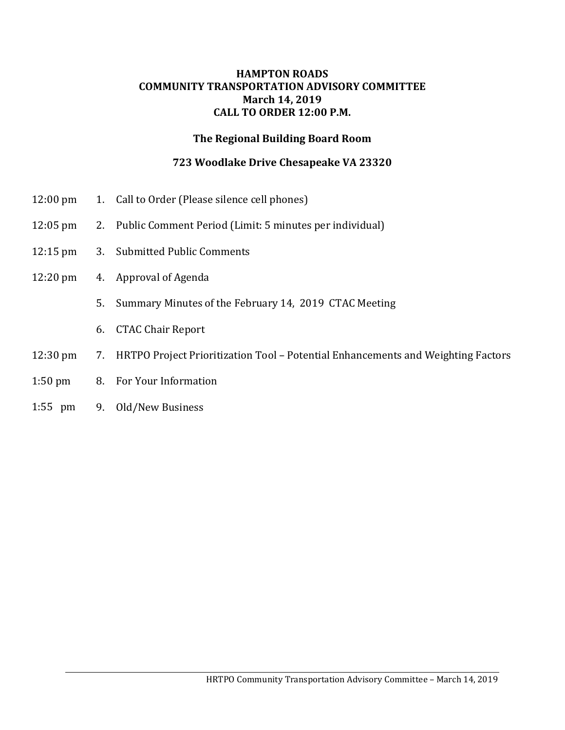#### **HAMPTON ROADS COMMUNITY TRANSPORTATION ADVISORY COMMITTEE March 14, 2019 CALL TO ORDER 12:00 P.M.**

## **The Regional Building Board Room**

# **723 Woodlake Drive Chesapeake VA 23320**

- 12:00 pm 1. Call to Order (Please silence cell phones)
- 12:05 pm 2. Public Comment Period (Limit: 5 minutes per individual)
- 12:15 pm 3. Submitted Public Comments
- 12:20 pm 4. Approval of Agenda
	- 5. Summary Minutes of the February 14, 2019 CTAC Meeting
	- 6. CTAC Chair Report
- 12:30 pm 7. HRTPO Project Prioritization Tool Potential Enhancements and Weighting Factors
- 1:50 pm 8. For Your Information
- 1:55 pm 9. Old/New Business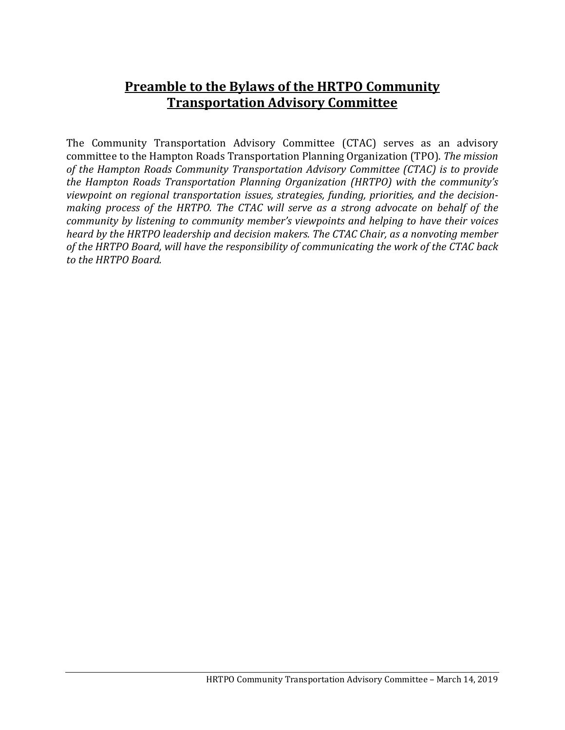# **Preamble to the Bylaws of the HRTPO Community Transportation Advisory Committee**

The Community Transportation Advisory Committee (CTAC) serves as an advisory committee to the Hampton Roads Transportation Planning Organization (TPO). *The mission of the Hampton Roads Community Transportation Advisory Committee (CTAC) is to provide the Hampton Roads Transportation Planning Organization (HRTPO) with the community's viewpoint on regional transportation issues, strategies, funding, priorities, and the decisionmaking process of the HRTPO. The CTAC will serve as a strong advocate on behalf of the community by listening to community member's viewpoints and helping to have their voices heard by the HRTPO leadership and decision makers. The CTAC Chair, as a nonvoting member of the HRTPO Board, will have the responsibility of communicating the work of the CTAC back to the HRTPO Board.*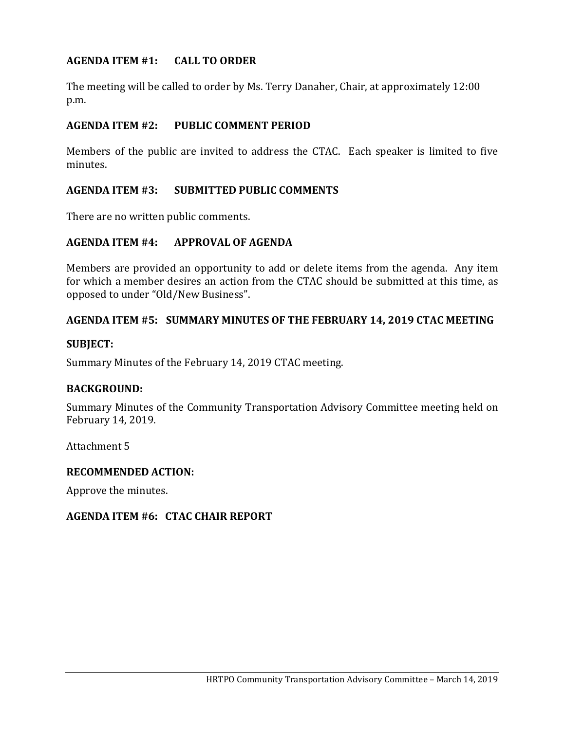# **AGENDA ITEM #1: CALL TO ORDER**

The meeting will be called to order by Ms. Terry Danaher, Chair, at approximately 12:00 p.m.

#### **AGENDA ITEM #2: PUBLIC COMMENT PERIOD**

Members of the public are invited to address the CTAC. Each speaker is limited to five minutes.

## **AGENDA ITEM #3: SUBMITTED PUBLIC COMMENTS**

There are no written public comments.

#### **AGENDA ITEM #4: APPROVAL OF AGENDA**

Members are provided an opportunity to add or delete items from the agenda. Any item for which a member desires an action from the CTAC should be submitted at this time, as opposed to under "Old/New Business".

#### **AGENDA ITEM #5: SUMMARY MINUTES OF THE FEBRUARY 14, 2019 CTAC MEETING**

#### **SUBJECT:**

Summary Minutes of the February 14, 2019 CTAC meeting.

#### **BACKGROUND:**

Summary Minutes of the Community Transportation Advisory Committee meeting held on February 14, 2019.

Attachment 5

#### **RECOMMENDED ACTION:**

Approve the minutes.

#### **AGENDA ITEM #6: CTAC CHAIR REPORT**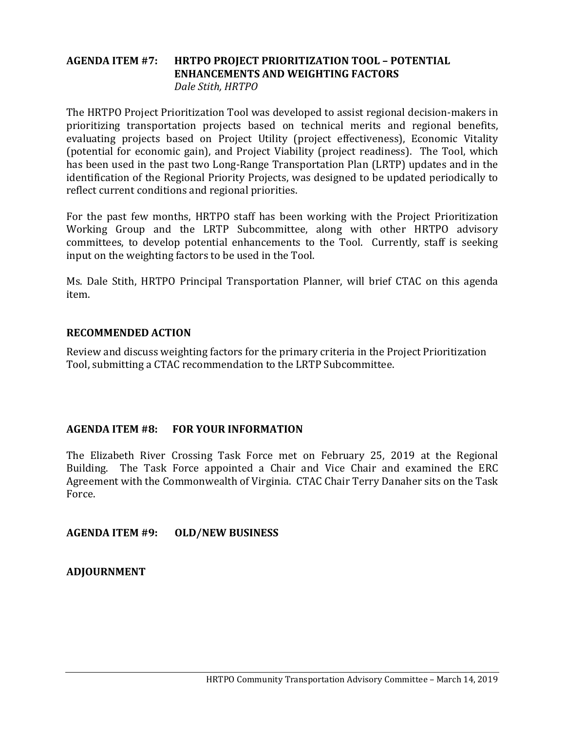## **AGENDA ITEM #7: HRTPO PROJECT PRIORITIZATION TOOL – POTENTIAL ENHANCEMENTS AND WEIGHTING FACTORS** *Dale Stith, HRTPO*

The HRTPO Project Prioritization Tool was developed to assist regional decision-makers in prioritizing transportation projects based on technical merits and regional benefits, evaluating projects based on Project Utility (project effectiveness), Economic Vitality (potential for economic gain), and Project Viability (project readiness). The Tool, which has been used in the past two Long-Range Transportation Plan (LRTP) updates and in the identification of the Regional Priority Projects, was designed to be updated periodically to reflect current conditions and regional priorities.

For the past few months, HRTPO staff has been working with the Project Prioritization Working Group and the LRTP Subcommittee, along with other HRTPO advisory committees, to develop potential enhancements to the Tool. Currently, staff is seeking input on the weighting factors to be used in the Tool.

Ms. Dale Stith, HRTPO Principal Transportation Planner, will brief CTAC on this agenda item.

## **RECOMMENDED ACTION**

Review and discuss weighting factors for the primary criteria in the Project Prioritization Tool, submitting a CTAC recommendation to the LRTP Subcommittee.

## **AGENDA ITEM #8: FOR YOUR INFORMATION**

The Elizabeth River Crossing Task Force met on February 25, 2019 at the Regional Building. The Task Force appointed a Chair and Vice Chair and examined the ERC The Task Force appointed a Chair and Vice Chair and examined the ERC Agreement with the Commonwealth of Virginia. CTAC Chair Terry Danaher sits on the Task Force.

**AGENDA ITEM #9: OLD/NEW BUSINESS**

**ADJOURNMENT**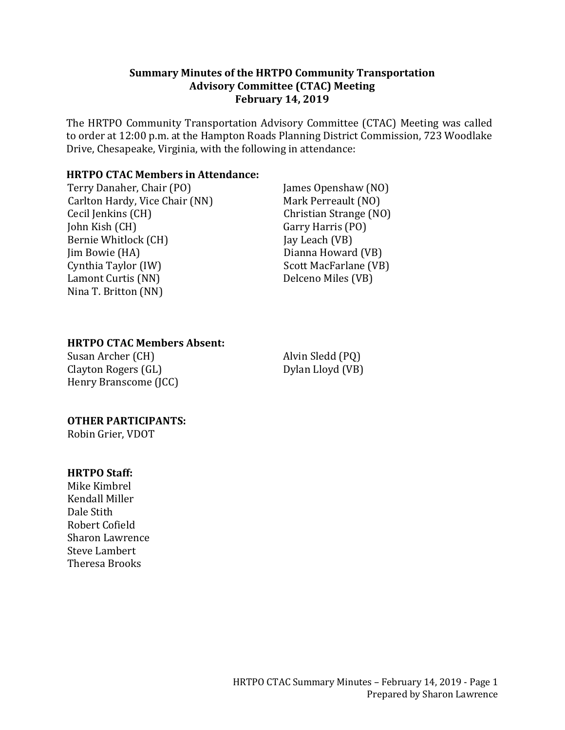#### **Summary Minutes of the HRTPO Community Transportation Advisory Committee (CTAC) Meeting February 14, 2019**

The HRTPO Community Transportation Advisory Committee (CTAC) Meeting was called to order at 12:00 p.m. at the Hampton Roads Planning District Commission, 723 Woodlake Drive, Chesapeake, Virginia, with the following in attendance:

# **HRTPO CTAC Members in Attendance:**

Terry Danaher, Chair (PO) Carlton Hardy, Vice Chair (NN) Cecil Jenkins (CH) John Kish (CH) Bernie Whitlock (CH) Jim Bowie (HA) Cynthia Taylor (IW) Lamont Curtis (NN) Nina T. Britton (NN)

James Openshaw (NO) Mark Perreault (NO) Christian Strange (NO) Garry Harris (PO) Jay Leach (VB) Dianna Howard (VB) Scott MacFarlane (VB) Delceno Miles (VB)

## **HRTPO CTAC Members Absent:**

Susan Archer (CH) Clayton Rogers (GL) Henry Branscome (JCC) Alvin Sledd (PQ) Dylan Lloyd (VB)

# **OTHER PARTICIPANTS:**

Robin Grier, VDOT

#### **HRTPO Staff:**

Mike Kimbrel Kendall Miller Dale Stith Robert Cofield Sharon Lawrence Steve Lambert Theresa Brooks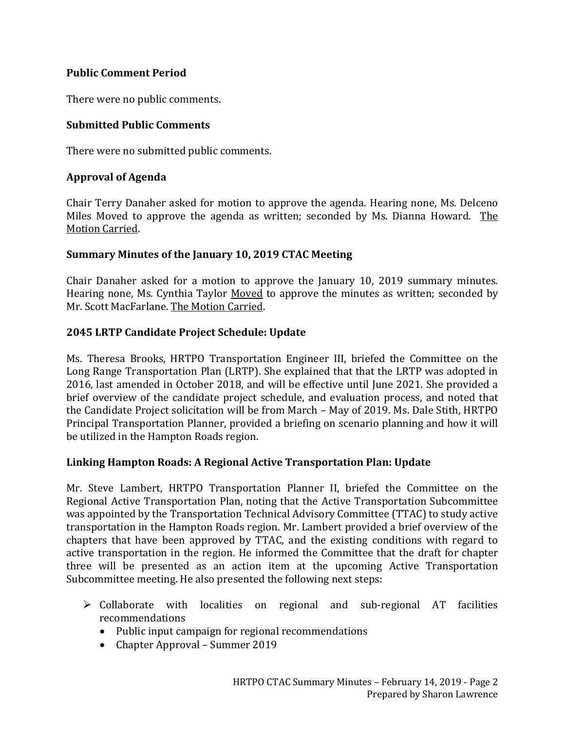# **Public Comment Period**

There were no public comments.

# **Submitted Public Comments**

There were no submitted public comments.

# **Approval of Agenda**

Chair Terry Danaher asked for motion to approve the agenda. Hearing none, Ms. Delceno Miles Moved to approve the agenda as written; seconded by Ms. Dianna Howard. The Motion Carried.

## **Summary Minutes of the January 10, 2019 CTAC Meeting**

Chair Danaher asked for a motion to approve the January 10, 2019 summary minutes. Hearing none, Ms. Cynthia Taylor Moved to approve the minutes as written; seconded by Mr. Scott MacFarlane. The Motion Carried.

# **2045 LRTP Candidate Project Schedule: Update**

Ms. Theresa Brooks, HRTPO Transportation Engineer III, briefed the Committee on the Long Range Transportation Plan (LRTP). She explained that that the LRTP was adopted in 2016, last amended in October 2018, and will be effective until June 2021. She provided a brief overview of the candidate project schedule, and evaluation process, and noted that the Candidate Project solicitation will be from March – May of 2019. Ms. Dale Stith, HRTPO Principal Transportation Planner, provided a briefing on scenario planning and how it will be utilized in the Hampton Roads region.

## **Linking Hampton Roads: A Regional Active Transportation Plan: Update**

Mr. Steve Lambert, HRTPO Transportation Planner II, briefed the Committee on the Regional Active Transportation Plan, noting that the Active Transportation Subcommittee was appointed by the Transportation Technical Advisory Committee (TTAC) to study active transportation in the Hampton Roads region. Mr. Lambert provided a brief overview of the chapters that have been approved by TTAC, and the existing conditions with regard to active transportation in the region. He informed the Committee that the draft for chapter three will be presented as an action item at the upcoming Active Transportation Subcommittee meeting. He also presented the following next steps:

- $\triangleright$  Collaborate with localities on regional and sub-regional AT facilities recommendations
	- Public input campaign for regional recommendations
	- Chapter Approval Summer 2019